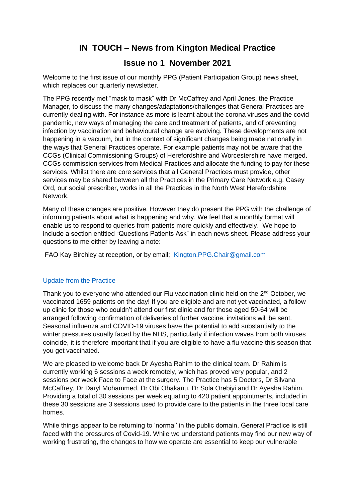## **IN TOUCH – News from Kington Medical Practice**

## **Issue no 1 November 2021**

Welcome to the first issue of our monthly PPG (Patient Participation Group) news sheet, which replaces our quarterly newsletter.

The PPG recently met "mask to mask" with Dr McCaffrey and April Jones, the Practice Manager, to discuss the many changes/adaptations/challenges that General Practices are currently dealing with. For instance as more is learnt about the corona viruses and the covid pandemic, new ways of managing the care and treatment of patients, and of preventing infection by vaccination and behavioural change are evolving. These developments are not happening in a vacuum, but in the context of significant changes being made nationally in the ways that General Practices operate. For example patients may not be aware that the CCGs (Clinical Commissioning Groups) of Herefordshire and Worcestershire have merged. CCGs commission services from Medical Practices and allocate the funding to pay for these services. Whilst there are core services that all General Practices must provide, other services may be shared between all the Practices in the Primary Care Network e.g. Casey Ord, our social prescriber, works in all the Practices in the North West Herefordshire Network.

Many of these changes are positive. However they do present the PPG with the challenge of informing patients about what is happening and why. We feel that a monthly format will enable us to respond to queries from patients more quickly and effectively. We hope to include a section entitled "Questions Patients Ask" in each news sheet. Please address your questions to me either by leaving a note:

FAO Kay Birchley at reception, or by email; [Kington.PPG.Chair@gmail.com](mailto:Kington.PPG.Chair@gmail.com)

## Update from the Practice

Thank you to everyone who attended our Flu vaccination clinic held on the 2<sup>nd</sup> October, we vaccinated 1659 patients on the day! If you are eligible and are not yet vaccinated, a follow up clinic for those who couldn't attend our first clinic and for those aged 50-64 will be arranged following confirmation of deliveries of further vaccine, invitations will be sent. Seasonal influenza and COVID-19 viruses have the potential to add substantially to the winter pressures usually faced by the NHS, particularly if infection waves from both viruses coincide, it is therefore important that if you are eligible to have a flu vaccine this season that you get vaccinated.

We are pleased to welcome back Dr Ayesha Rahim to the clinical team. Dr Rahim is currently working 6 sessions a week remotely, which has proved very popular, and 2 sessions per week Face to Face at the surgery. The Practice has 5 Doctors, Dr Silvana McCaffrey, Dr Daryl Mohammed, Dr Obi Ohakanu, Dr Sola Orebiyi and Dr Ayesha Rahim. Providing a total of 30 sessions per week equating to 420 patient appointments, included in these 30 sessions are 3 sessions used to provide care to the patients in the three local care homes.

While things appear to be returning to 'normal' in the public domain, General Practice is still faced with the pressures of Covid-19. While we understand patients may find our new way of working frustrating, the changes to how we operate are essential to keep our vulnerable